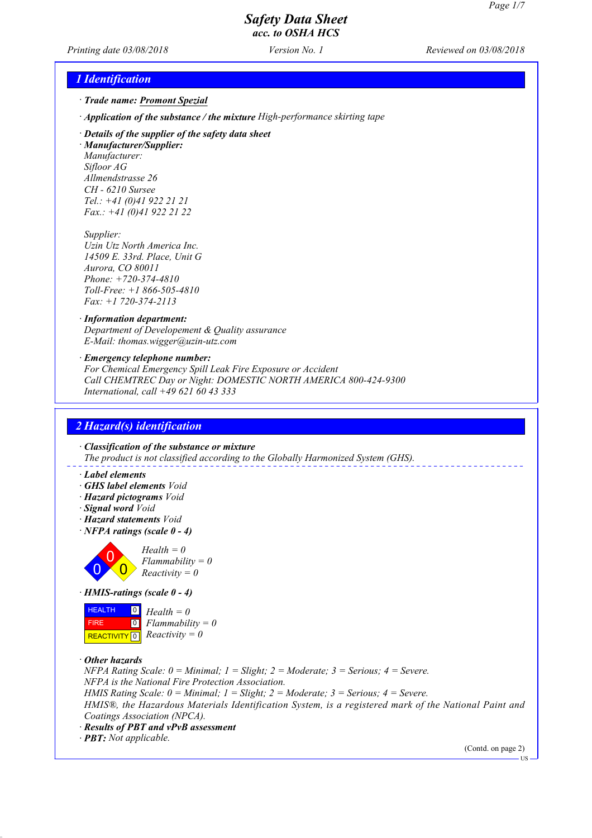*Printing date 03/08/2018 Version No. 1 Reviewed on 03/08/2018*

#### *1 Identification*

- *· Trade name: Promont Spezial*
- *· Application of the substance / the mixture High-performance skirting tape*
- *· Details of the supplier of the safety data sheet*

*· Manufacturer/Supplier: Manufacturer: Sifloor AG Allmendstrasse 26 CH - 6210 Sursee Tel.: +41 (0)41 922 21 21 Fax.: +41 (0)41 922 21 22*

*Supplier:*

*Uzin Utz North America Inc. 14509 E. 33rd. Place, Unit G Aurora, CO 80011 Phone: +720-374-4810 Toll-Free: +1 866-505-4810 Fax: +1 720-374-2113*

*· Information department: Department of Developement & Quality assurance E-Mail: thomas.wigger@uzin-utz.com*

*· Emergency telephone number:*

*For Chemical Emergency Spill Leak Fire Exposure or Accident Call CHEMTREC Day or Night: DOMESTIC NORTH AMERICA 800-424-9300 International, call +49 621 60 43 333*

### *2 Hazard(s) identification*

*· Classification of the substance or mixture The product is not classified according to the Globally Harmonized System (GHS).*

- *· Label elements*
- *· GHS label elements Void*
- *· Hazard pictograms Void*
- *· Signal word Void*
- *· Hazard statements Void*
- *· NFPA ratings (scale 0 4)*



*Health = 0 Flammability = 0*  $\sum$ *Reactivity* = 0

*· HMIS-ratings (scale 0 - 4)*



*· Other hazards*

*NFPA Rating Scale: 0 = Minimal; 1 = Slight; 2 = Moderate; 3 = Serious; 4 = Severe. NFPA is the National Fire Protection Association. HMIS Rating Scale: 0 = Minimal; 1 = Slight; 2 = Moderate; 3 = Serious; 4 = Severe. HMIS®, the Hazardous Materials Identification System, is a registered mark of the National Paint and Coatings Association (NPCA). · Results of PBT and vPvB assessment*

*· PBT: Not applicable.*

(Contd. on page 2)

US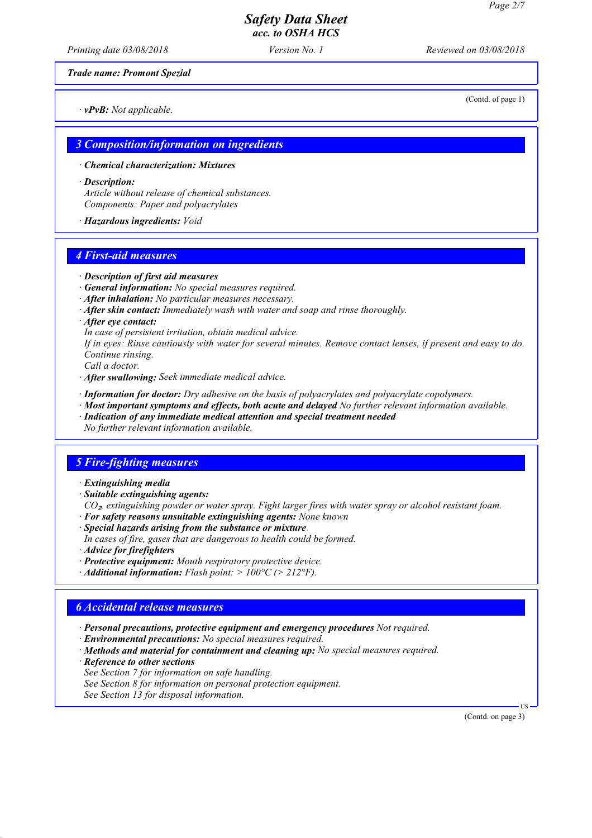*Printing date 03/08/2018 Version No. 1 Reviewed on 03/08/2018*

*Trade name: Promont Spezial*

*· vPvB: Not applicable.*

#### *3 Composition/information on ingredients*

*· Chemical characterization: Mixtures*

*· Description:*

*Article without release of chemical substances. Components: Paper and polyacrylates*

*· Hazardous ingredients: Void*

#### *4 First-aid measures*

- *· Description of first aid measures*
- *· General information: No special measures required.*
- *· After inhalation: No particular measures necessary.*
- *· After skin contact: Immediately wash with water and soap and rinse thoroughly.*
- *· After eye contact:*
- *In case of persistent irritation, obtain medical advice.*

*If in eyes: Rinse cautiously with water for several minutes. Remove contact lenses, if present and easy to do. Continue rinsing.*

*Call a doctor.*

- *· After swallowing: Seek immediate medical advice.*
- *· Information for doctor: Dry adhesive on the basis of polyacrylates and polyacrylate copolymers.*
- *· Most important symptoms and effects, both acute and delayed No further relevant information available.*
- *· Indication of any immediate medical attention and special treatment needed*
- *No further relevant information available.*

#### *5 Fire-fighting measures*

- *· Extinguishing media*
- *· Suitable extinguishing agents:*

*CO*₂*, extinguishing powder or water spray. Fight larger fires with water spray or alcohol resistant foam.*

- *· For safety reasons unsuitable extinguishing agents: None known*
- *· Special hazards arising from the substance or mixture In cases of fire, gases that are dangerous to health could be formed.*
- *· Advice for firefighters*
- *· Protective equipment: Mouth respiratory protective device.*
- *· Additional information: Flash point: > 100°C (> 212°F).*

### *6 Accidental release measures*

- *· Personal precautions, protective equipment and emergency procedures Not required.*
- *· Environmental precautions: No special measures required.*
- *· Methods and material for containment and cleaning up: No special measures required.*
- *· Reference to other sections*
- *See Section 7 for information on safe handling.*
- *See Section 8 for information on personal protection equipment.*

*See Section 13 for disposal information.*

(Contd. on page 3)

US

(Contd. of page 1)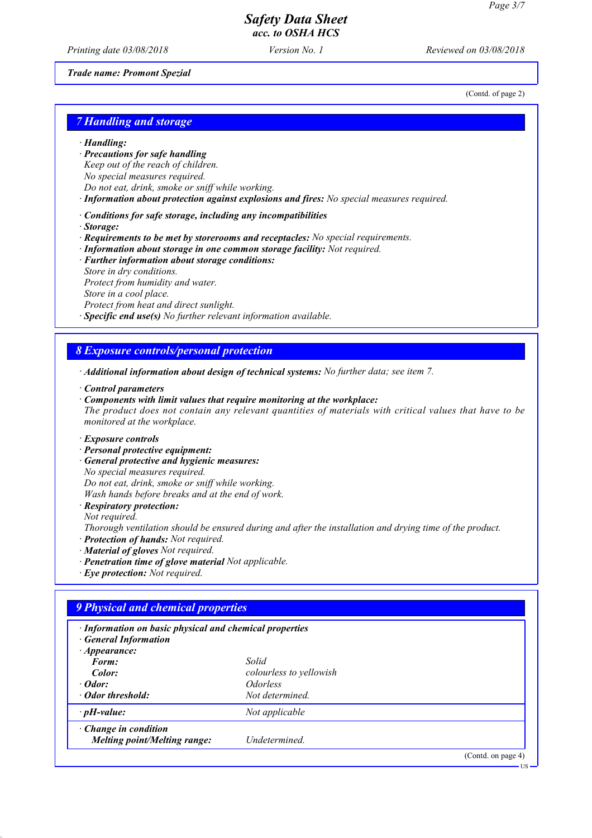*Printing date 03/08/2018 Version No. 1 Reviewed on 03/08/2018*

*Trade name: Promont Spezial*

(Contd. of page 2)

US

#### *7 Handling and storage*

*· Handling:*

- *· Precautions for safe handling*
- *Keep out of the reach of children.*
- *No special measures required.*
- *Do not eat, drink, smoke or sniff while working.*
- *· Information about protection against explosions and fires: No special measures required.*
- *· Conditions for safe storage, including any incompatibilities*
- *· Storage:*
- *· Requirements to be met by storerooms and receptacles: No special requirements.*
- *· Information about storage in one common storage facility: Not required.*
- *· Further information about storage conditions: Store in dry conditions.*
- *Protect from humidity and water.*

*Store in a cool place.*

*Protect from heat and direct sunlight.*

*· Specific end use(s) No further relevant information available.*

#### *8 Exposure controls/personal protection*

*· Additional information about design of technical systems: No further data; see item 7.*

- *· Control parameters*
- *· Components with limit values that require monitoring at the workplace:*

*The product does not contain any relevant quantities of materials with critical values that have to be monitored at the workplace.*

- *· Exposure controls*
- *· Personal protective equipment:*
- *· General protective and hygienic measures:*

*No special measures required.*

*Do not eat, drink, smoke or sniff while working.*

*Wash hands before breaks and at the end of work.*

*· Respiratory protection:*

*Not required.*

*Thorough ventilation should be ensured during and after the installation and drying time of the product.*

- *· Protection of hands: Not required.*
- *· Material of gloves Not required.*
- *· Penetration time of glove material Not applicable.*
- *· Eye protection: Not required.*

#### *9 Physical and chemical properties*

| · Information on basic physical and chemical properties<br><b>General Information</b> |                               |                    |
|---------------------------------------------------------------------------------------|-------------------------------|--------------------|
| $\cdot$ Appearance:                                                                   |                               |                    |
| Form:                                                                                 | Solid                         |                    |
| Color:                                                                                | colourless to yellowish       |                    |
| $\cdot$ Odor:                                                                         | <i><u><b>Odorless</b></u></i> |                    |
| • Odor threshold:                                                                     | Not determined.               |                    |
| $\cdot$ pH-value:                                                                     | Not applicable                |                    |
| $\cdot$ Change in condition<br>Melting point/Melting range:                           | Undetermined.                 |                    |
|                                                                                       |                               | (Contd. on page 4) |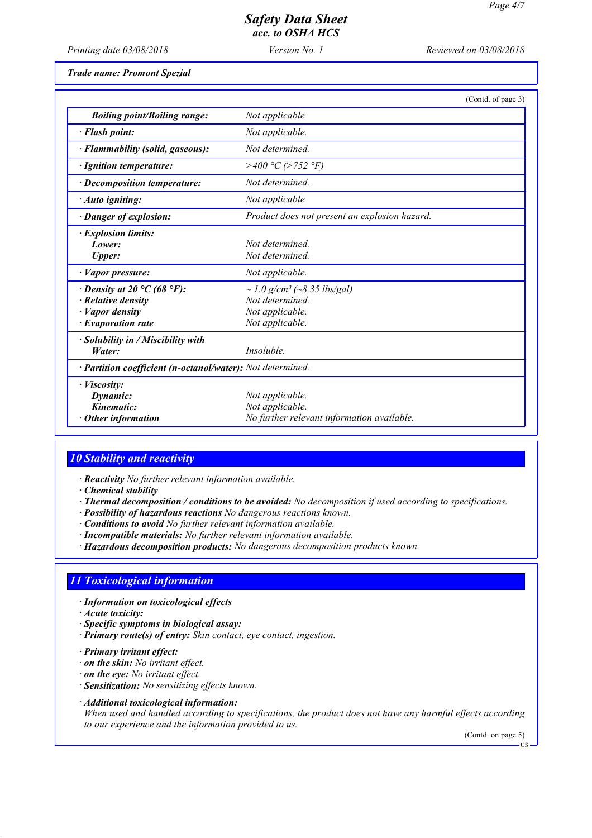*Printing date 03/08/2018 Version No. 1 Reviewed on 03/08/2018*

*Trade name: Promont Spezial*

|                                                            | (Contd. of page 3)                                  |
|------------------------------------------------------------|-----------------------------------------------------|
| <b>Boiling point/Boiling range:</b>                        | Not applicable                                      |
| · Flash point:                                             | Not applicable.                                     |
| · Flammability (solid, gaseous):                           | Not determined                                      |
| · Ignition temperature:                                    | >400 °C (>752 °F)                                   |
| $\cdot$ Decomposition temperature:                         | Not determined.                                     |
| $\cdot$ Auto igniting:                                     | Not applicable                                      |
| · Danger of explosion:                                     | Product does not present an explosion hazard.       |
| · Explosion limits:                                        |                                                     |
| Lower:                                                     | Not determined                                      |
| Upper:                                                     | Not determined.                                     |
| · <i>Vapor pressure:</i>                                   | Not applicable.                                     |
| $\cdot$ Density at 20 °C (68 °F):                          | $\sim$ 1.0 g/cm <sup>3</sup> ( $\sim$ 8.35 lbs/gal) |
| $\cdot$ Relative density                                   | Not determined.                                     |
| · Vapor density                                            | Not applicable.                                     |
| $\cdot$ Evaporation rate                                   | Not applicable.                                     |
| $\cdot$ Solubility in / Miscibility with                   |                                                     |
| Water:                                                     | <i>Insoluble.</i>                                   |
| · Partition coefficient (n-octanol/water): Not determined. |                                                     |
| · <i>Viscositv</i> :                                       |                                                     |
| Dynamic:                                                   | Not applicable.                                     |
| Kinematic:                                                 | Not applicable.                                     |
| Other information                                          | No further relevant information available.          |

### *10 Stability and reactivity*

*· Reactivity No further relevant information available.*

*· Chemical stability*

- *· Thermal decomposition / conditions to be avoided: No decomposition if used according to specifications.*
- *· Possibility of hazardous reactions No dangerous reactions known.*
- *· Conditions to avoid No further relevant information available.*
- *· Incompatible materials: No further relevant information available.*
- *· Hazardous decomposition products: No dangerous decomposition products known.*

## *11 Toxicological information*

- *· Information on toxicological effects*
- *· Acute toxicity:*
- *· Specific symptoms in biological assay:*
- *· Primary route(s) of entry: Skin contact, eye contact, ingestion.*
- *· Primary irritant effect:*
- *· on the skin: No irritant effect.*
- *· on the eye: No irritant effect.*
- *· Sensitization: No sensitizing effects known.*

*· Additional toxicological information: When used and handled according to specifications, the product does not have any harmful effects according to our experience and the information provided to us.*

(Contd. on page 5)

US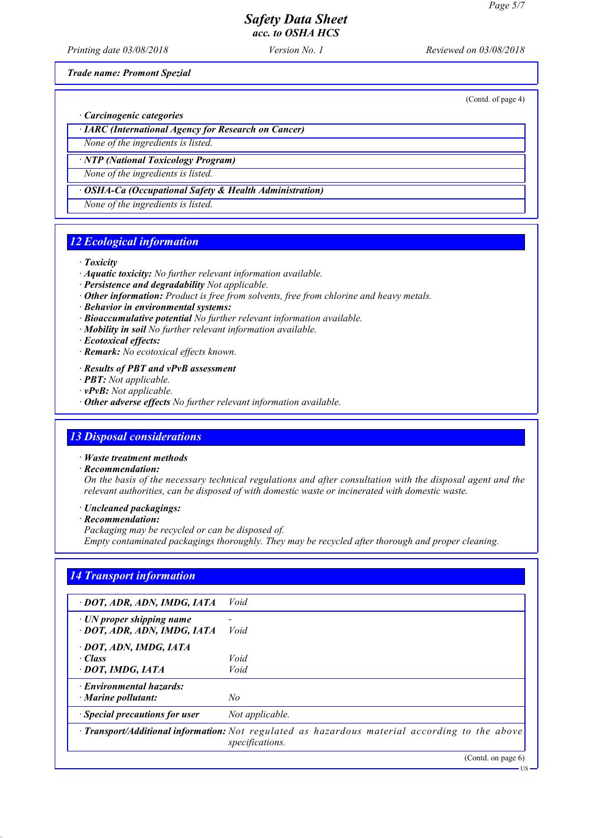*Printing date 03/08/2018 Version No. 1 Reviewed on 03/08/2018*

*Trade name: Promont Spezial*

(Contd. of page 4)

*· Carcinogenic categories*

*· IARC (International Agency for Research on Cancer)*

*None of the ingredients is listed.*

*· NTP (National Toxicology Program)*

*None of the ingredients is listed.*

*· OSHA-Ca (Occupational Safety & Health Administration)*

*None of the ingredients is listed.*

#### *12 Ecological information*

*· Toxicity*

- *· Aquatic toxicity: No further relevant information available.*
- *· Persistence and degradability Not applicable.*
- *· Other information: Product is free from solvents, free from chlorine and heavy metals.*
- *· Behavior in environmental systems:*
- *· Bioaccumulative potential No further relevant information available.*
- *· Mobility in soil No further relevant information available.*

*· Ecotoxical effects:*

*· Remark: No ecotoxical effects known.*

*· Results of PBT and vPvB assessment*

- *· PBT: Not applicable.*
- *· vPvB: Not applicable.*
- *· Other adverse effects No further relevant information available.*

#### *13 Disposal considerations*

*· Waste treatment methods*

*· Recommendation:*

*On the basis of the necessary technical regulations and after consultation with the disposal agent and the relevant authorities, can be disposed of with domestic waste or incinerated with domestic waste.*

- *· Uncleaned packagings:*
- *· Recommendation:*

*Packaging may be recycled or can be disposed of.*

*Empty contaminated packagings thoroughly. They may be recycled after thorough and proper cleaning.*

| · DOT, ADR, ADN, IMDG, IATA                                    | Void                                                                                                              |
|----------------------------------------------------------------|-------------------------------------------------------------------------------------------------------------------|
| $\cdot$ UN proper shipping name<br>· DOT, ADR, ADN, IMDG, IATA | Void                                                                                                              |
| · DOT, ADN, IMDG, IATA                                         |                                                                                                                   |
| $\cdot$ Class                                                  | Void                                                                                                              |
| · DOT, IMDG, IATA                                              | Void                                                                                                              |
| · Environmental hazards:                                       |                                                                                                                   |
| $\cdot$ Marine pollutant:                                      | No                                                                                                                |
| · Special precautions for user                                 | Not applicable.                                                                                                   |
|                                                                | · Transport/Additional information: Not regulated as hazardous material according to the above<br>specifications. |
|                                                                | (Contd. on page 6)                                                                                                |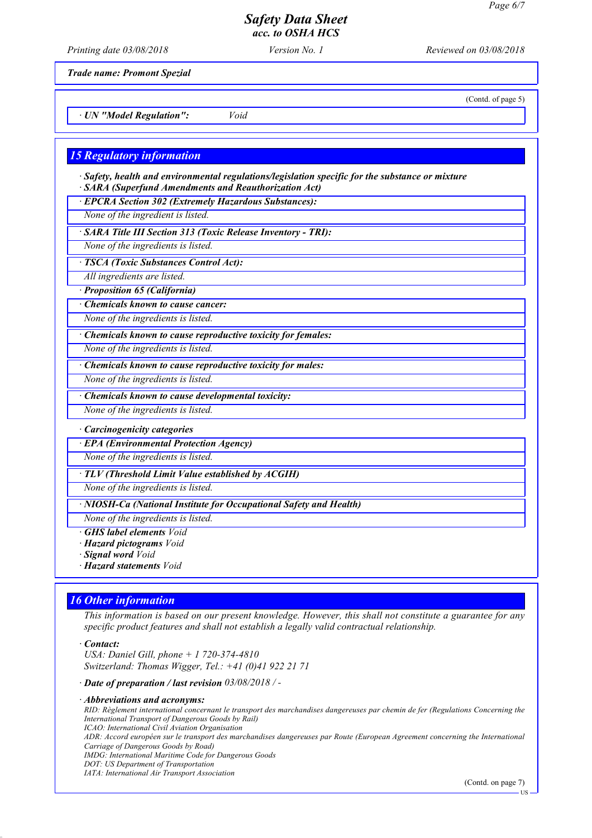*Printing date 03/08/2018 Version No. 1 Reviewed on 03/08/2018*

(Contd. of page 5)

*Trade name: Promont Spezial*

*· UN "Model Regulation": Void*

*15 Regulatory information*

*· Safety, health and environmental regulations/legislation specific for the substance or mixture · SARA (Superfund Amendments and Reauthorization Act)*

*· EPCRA Section 302 (Extremely Hazardous Substances):*

*None of the ingredient is listed.*

*· SARA Title III Section 313 (Toxic Release Inventory - TRI):*

*None of the ingredients is listed.*

*· TSCA (Toxic Substances Control Act):*

*All ingredients are listed.*

*· Proposition 65 (California)*

*· Chemicals known to cause cancer:*

*None of the ingredients is listed.*

*· Chemicals known to cause reproductive toxicity for females:*

*None of the ingredients is listed.*

*· Chemicals known to cause reproductive toxicity for males:*

*None of the ingredients is listed.*

*· Chemicals known to cause developmental toxicity:*

*None of the ingredients is listed.*

*· Carcinogenicity categories*

*· EPA (Environmental Protection Agency)*

*None of the ingredients is listed.*

*· TLV (Threshold Limit Value established by ACGIH)*

*None of the ingredients is listed.*

*· NIOSH-Ca (National Institute for Occupational Safety and Health)*

*None of the ingredients is listed.*

*· GHS label elements Void*

*· Hazard pictograms Void*

*· Signal word Void*

*· Hazard statements Void*

#### *16 Other information*

*This information is based on our present knowledge. However, this shall not constitute a guarantee for any specific product features and shall not establish a legally valid contractual relationship.*

*· Contact:*

*USA: Daniel Gill, phone + 1 720-374-4810 Switzerland: Thomas Wigger, Tel.: +41 (0)41 922 21 71*

*· Date of preparation / last revision 03/08/2018 / -*

*· Abbreviations and acronyms:*

*RID: Règlement international concernant le transport des marchandises dangereuses par chemin de fer (Regulations Concerning the International Transport of Dangerous Goods by Rail) ICAO: International Civil Aviation Organisation*

*ADR: Accord européen sur le transport des marchandises dangereuses par Route (European Agreement concerning the International Carriage of Dangerous Goods by Road)*

*IMDG: International Maritime Code for Dangerous Goods*

*DOT: US Department of Transportation*

*IATA: International Air Transport Association*